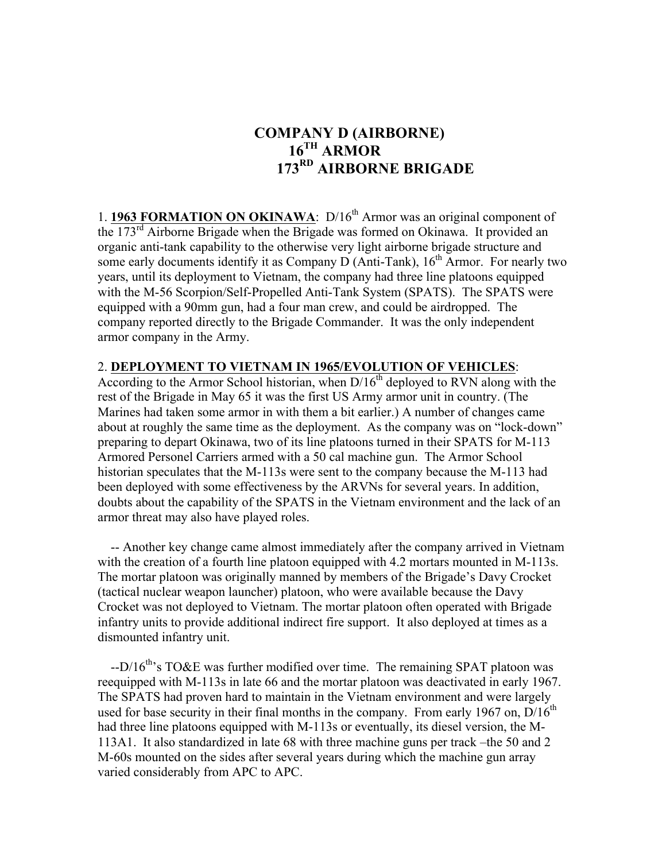## **COMPANY D (AIRBORNE) 16TH ARMOR 173RD AIRBORNE BRIGADE**

1. **1963 FORMATION ON OKINAWA**: D/16<sup>th</sup> Armor was an original component of the  $173<sup>rd</sup>$  Airborne Brigade when the Brigade was formed on Okinawa. It provided an organic anti-tank capability to the otherwise very light airborne brigade structure and some early documents identify it as Company D (Anti-Tank),  $16<sup>th</sup>$  Armor. For nearly two years, until its deployment to Vietnam, the company had three line platoons equipped with the M-56 Scorpion/Self-Propelled Anti-Tank System (SPATS). The SPATS were equipped with a 90mm gun, had a four man crew, and could be airdropped. The company reported directly to the Brigade Commander. It was the only independent armor company in the Army.

## 2. **DEPLOYMENT TO VIETNAM IN 1965/EVOLUTION OF VEHICLES**:

According to the Armor School historian, when  $D/16^{th}$  deployed to RVN along with the rest of the Brigade in May 65 it was the first US Army armor unit in country. (The Marines had taken some armor in with them a bit earlier.) A number of changes came about at roughly the same time as the deployment. As the company was on "lock-down" preparing to depart Okinawa, two of its line platoons turned in their SPATS for M-113 Armored Personel Carriers armed with a 50 cal machine gun. The Armor School historian speculates that the M-113s were sent to the company because the M-113 had been deployed with some effectiveness by the ARVNs for several years. In addition, doubts about the capability of the SPATS in the Vietnam environment and the lack of an armor threat may also have played roles.

 -- Another key change came almost immediately after the company arrived in Vietnam with the creation of a fourth line platoon equipped with 4.2 mortars mounted in M-113s. The mortar platoon was originally manned by members of the Brigade's Davy Crocket (tactical nuclear weapon launcher) platoon, who were available because the Davy Crocket was not deployed to Vietnam. The mortar platoon often operated with Brigade infantry units to provide additional indirect fire support. It also deployed at times as a dismounted infantry unit.

 $-$ D/16<sup>th</sup>'s TO&E was further modified over time. The remaining SPAT platoon was reequipped with M-113s in late 66 and the mortar platoon was deactivated in early 1967. The SPATS had proven hard to maintain in the Vietnam environment and were largely used for base security in their final months in the company. From early 1967 on,  $D/16^{th}$ had three line platoons equipped with M-113s or eventually, its diesel version, the M-113A1. It also standardized in late 68 with three machine guns per track –the 50 and 2 M-60s mounted on the sides after several years during which the machine gun array varied considerably from APC to APC.